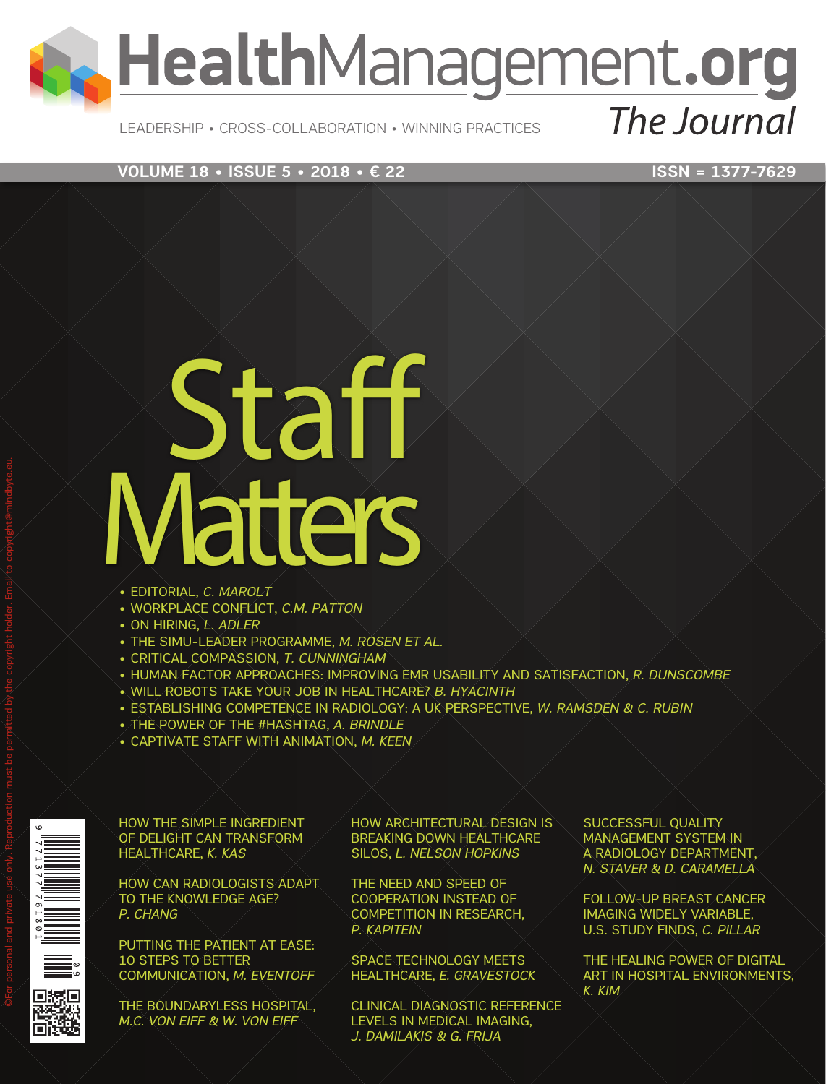## **A. HealthManagement.org** The Journal

#### LEADERSHIP • CROSS-COLLABORATION • WINNING PRACTICES

#### **VOLUME 18 • ISSUE 5 • 2018 • € 22** ISSN = 1377-7629

# Staff **Vatters**

- EDITORIAL, *C. MAROLT*
- WORKPLACE CONFLICT, *C.M. PATTON*
- ON HIRING, *L. ADLER*
- THE SIMU-LEADER PROGRAMME, *M. ROSEN ET AL.*
- CRITICAL COMPASSION, *T. CUNNINGHAM*
- HUMAN FACTOR APPROACHES: IMPROVING EMR USABILITY AND SATISFACTION, *R. DUNSCOMBE*
- WILL ROBOTS TAKE YOUR JOB IN HEALTHCARE? *B. HYACINTH*
- ESTABLISHING COMPETENCE IN RADIOLOGY: A UK PERSPECTIVE, *W. RAMSDEN & C. RUBIN*
- THE POWER OF THE #HASHTAG, *A. BRINDLE*
- CAPTIVATE STAFF WITH ANIMATION, *M. KEEN*

HOW THE SIMPLE INGREDIENT OF DELIGHT CAN TRANSFORM HEALTHCARE, *K. KAS*

HOW CAN RADIOLOGISTS ADAPT TO THE KNOWLEDGE AGE? *P. CHANG*

PUTTING THE PATIENT AT EASE: 10 STEPS TO BETTER COMMUNICATION, *M. EVENTOFF*

THE BOUNDARYLESS HOSPITAL, *M.C. VON EIFF & W. VON EIFF*

HOW ARCHITECTURAL DESIGN IS BREAKING DOWN HEALTHCARE SILOS, *L. NELSON HOPKINS*

THE NEED AND SPEED OF COOPERATION INSTEAD OF COMPETITION IN RESEARCH, *P. KAPITEIN*

SPACE TECHNOLOGY MEETS HEALTHCARE, *E. GRAVESTOCK*

CLINICAL DIAGNOSTIC REFERENCE LEVELS IN MEDICAL IMAGING, *J. DAMILAKIS & G. FRIJA*

SUCCESSFUL OUALITY MANAGEMENT SYSTEM IN A RADIOLOGY DEPARTMENT, *N. STAVER & D. CARAMELLA*

FOLLOW-UP BREAST CANCER IMAGING WIDELY VARIABLE, U.S. STUDY FINDS, *C. PILLAR*

THE HEALING POWER OF DIGITAL ART IN HOSPITAL ENVIRONMENTS, *K. KIM*

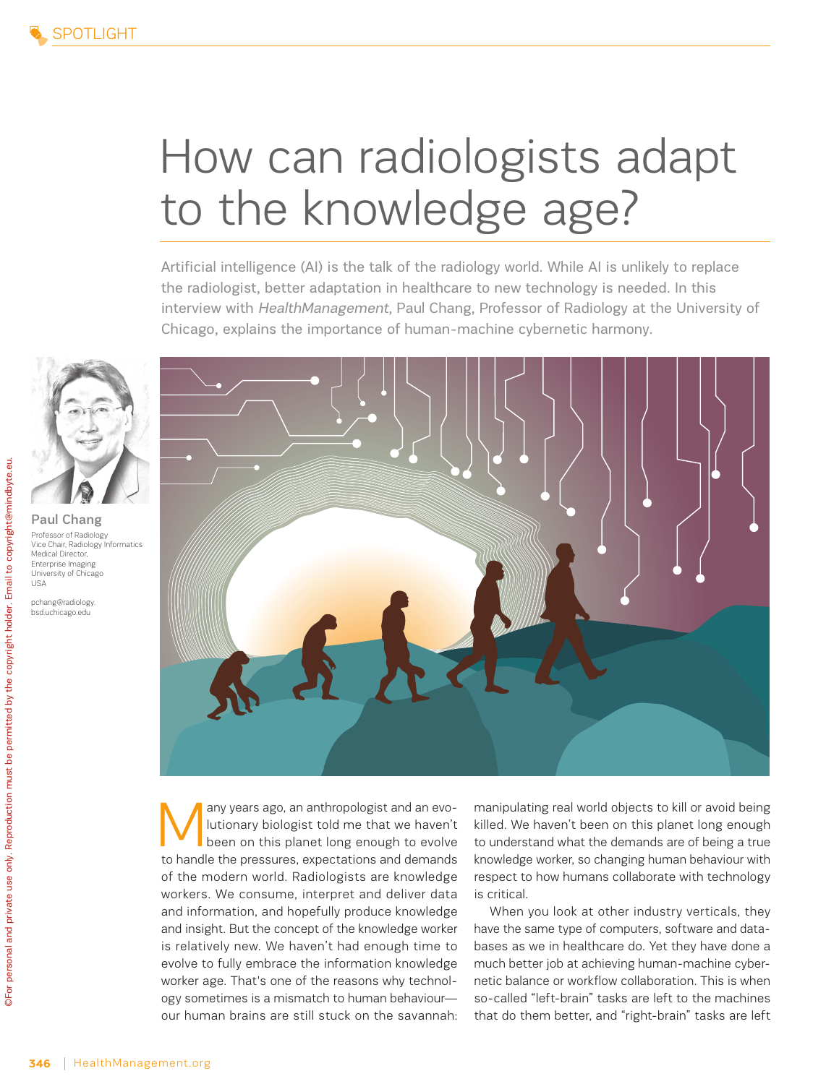## How can radiologists adapt to the knowledge age?

Artificial intelligence (AI) is the talk of the radiology world. While AI is unlikely to replace the radiologist, better adaptation in healthcare to new technology is needed. In this interview with HealthManagement, Paul Chang, Professor of Radiology at the University of Chicago, explains the importance of human-machine cybernetic harmony.



Paul Chang Professor of Radiology Vice Chair, Radiology Informatics Medical Director, Enterprise Imaging University of Chicago USA

pchang@radiology. bsd.uchicago.edu



Many years ago, an anthropologist and an evo-<br>lutionary biologist told me that we haven't<br>been on this planet long enough to evolve lutionary biologist told me that we haven't been on this planet long enough to evolve to handle the pressures, expectations and demands of the modern world. Radiologists are knowledge workers. We consume, interpret and deliver data and information, and hopefully produce knowledge and insight. But the concept of the knowledge worker is relatively new. We haven't had enough time to evolve to fully embrace the information knowledge worker age. That's one of the reasons why technology sometimes is a mismatch to human behaviour our human brains are still stuck on the savannah:

manipulating real world objects to kill or avoid being killed. We haven't been on this planet long enough to understand what the demands are of being a true knowledge worker, so changing human behaviour with respect to how humans collaborate with technology is critical.

When you look at other industry verticals, they have the same type of computers, software and databases as we in healthcare do. Yet they have done a much better job at achieving human-machine cybernetic balance or workflow collaboration. This is when so-called "left-brain" tasks are left to the machines that do them better, and "right-brain" tasks are left